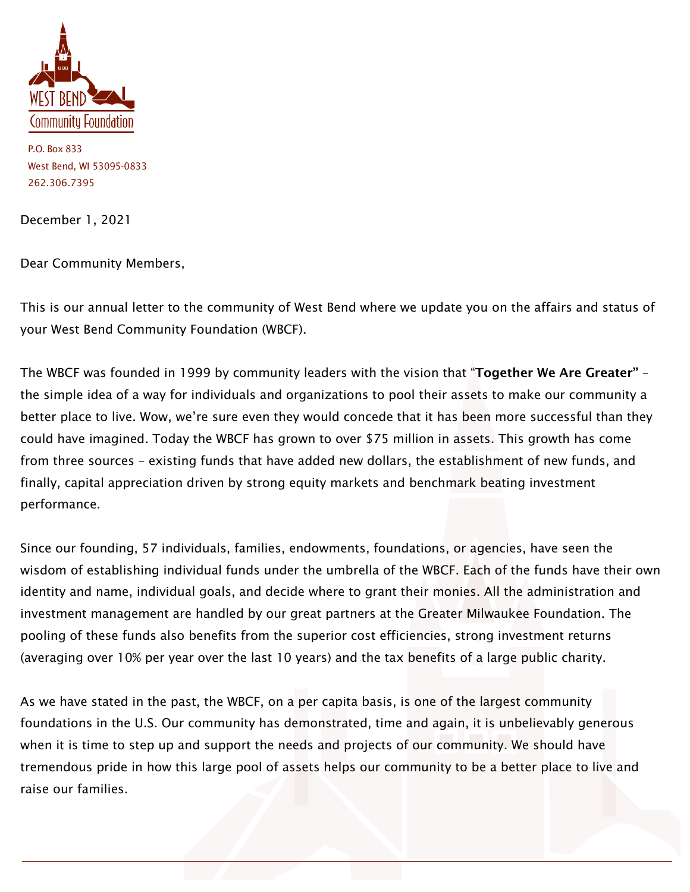

P.O. Box 833 West Bend, WI 53095-0833 262.306.7395

December 1, 2021

Dear Community Members,

This is our annual letter to the community of West Bend where we update you on the affairs and status of your West Bend Community Foundation (WBCF).

The WBCF was founded in 1999 by community leaders with the vision that "Together We Are Greater" the simple idea of a way for individuals and organizations to pool their assets to make our community a better place to live. Wow, we're sure even they would concede that it has been more successful than they could have imagined. Today the WBCF has grown to over \$75 million in assets. This growth has come from three sources – existing funds that have added new dollars, the establishment of new funds, and finally, capital appreciation driven by strong equity markets and benchmark beating investment performance.

Since our founding, 57 individuals, families, endowments, foundations, or agencies, have seen the wisdom of establishing individual funds under the umbrella of the WBCF. Each of the funds have their own identity and name, individual goals, and decide where to grant their monies. All the administration and investment management are handled by our great partners at the Greater Milwaukee Foundation. The pooling of these funds also benefits from the superior cost efficiencies, strong investment returns (averaging over 10% per year over the last 10 years) and the tax benefits of a large public charity.

As we have stated in the past, the WBCF, on a per capita basis, is one of the largest community foundations in the U.S. Our community has demonstrated, time and again, it is unbelievably generous when it is time to step up and support the needs and projects of our community. We should have tremendous pride in how this large pool of assets helps our community to be a better place to live and raise our families.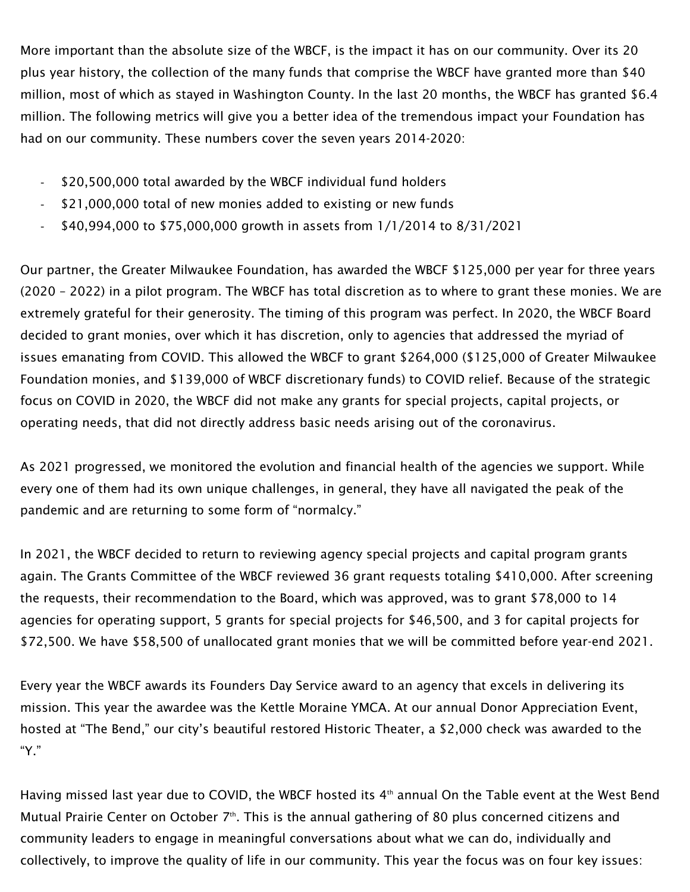More important than the absolute size of the WBCF, is the impact it has on our community. Over its 20 plus year history, the collection of the many funds that comprise the WBCF have granted more than \$40 million, most of which as stayed in Washington County. In the last 20 months, the WBCF has granted \$6.4 million. The following metrics will give you a better idea of the tremendous impact your Foundation has had on our community. These numbers cover the seven years 2014-2020:

- \$20,500,000 total awarded by the WBCF individual fund holders
- \$21,000,000 total of new monies added to existing or new funds
- \$40,994,000 to \$75,000,000 growth in assets from 1/1/2014 to 8/31/2021

Our partner, the Greater Milwaukee Foundation, has awarded the WBCF \$125,000 per year for three years (2020 – 2022) in a pilot program. The WBCF has total discretion as to where to grant these monies. We are extremely grateful for their generosity. The timing of this program was perfect. In 2020, the WBCF Board decided to grant monies, over which it has discretion, only to agencies that addressed the myriad of issues emanating from COVID. This allowed the WBCF to grant \$264,000 (\$125,000 of Greater Milwaukee Foundation monies, and \$139,000 of WBCF discretionary funds) to COVID relief. Because of the strategic focus on COVID in 2020, the WBCF did not make any grants for special projects, capital projects, or operating needs, that did not directly address basic needs arising out of the coronavirus.

As 2021 progressed, we monitored the evolution and financial health of the agencies we support. While every one of them had its own unique challenges, in general, they have all navigated the peak of the pandemic and are returning to some form of "normalcy."

In 2021, the WBCF decided to return to reviewing agency special projects and capital program grants again. The Grants Committee of the WBCF reviewed 36 grant requests totaling \$410,000. After screening the requests, their recommendation to the Board, which was approved, was to grant \$78,000 to 14 agencies for operating support, 5 grants for special projects for \$46,500, and 3 for capital projects for \$72,500. We have \$58,500 of unallocated grant monies that we will be committed before year-end 2021.

Every year the WBCF awards its Founders Day Service award to an agency that excels in delivering its mission. This year the awardee was the Kettle Moraine YMCA. At our annual Donor Appreciation Event, hosted at "The Bend," our city's beautiful restored Historic Theater, a \$2,000 check was awarded to the "Y."

Having missed last year due to COVID, the WBCF hosted its 4<sup>th</sup> annual On the Table event at the West Bend Mutual Prairie Center on October 7<sup>th</sup>. This is the annual gathering of 80 plus concerned citizens and community leaders to engage in meaningful conversations about what we can do, individually and collectively, to improve the quality of life in our community. This year the focus was on four key issues: